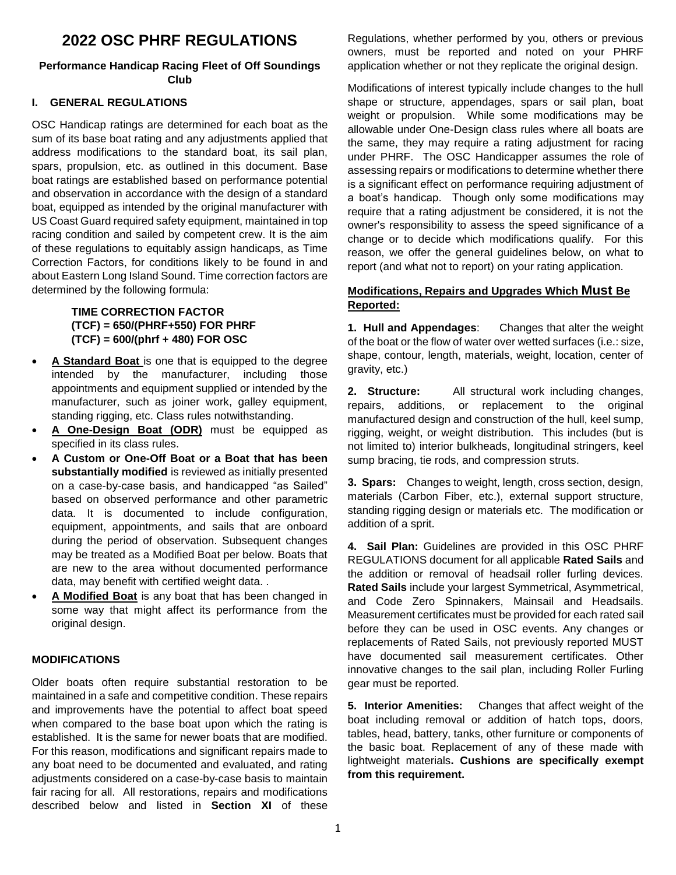# **2022 OSC PHRF REGULATIONS**

### **Performance Handicap Racing Fleet of Off Soundings Club**

### **I. GENERAL REGULATIONS**

OSC Handicap ratings are determined for each boat as the sum of its base boat rating and any adjustments applied that address modifications to the standard boat, its sail plan, spars, propulsion, etc. as outlined in this document. Base boat ratings are established based on performance potential and observation in accordance with the design of a standard boat, equipped as intended by the original manufacturer with US Coast Guard required safety equipment, maintained in top racing condition and sailed by competent crew. It is the aim of these regulations to equitably assign handicaps, as Time Correction Factors, for conditions likely to be found in and about Eastern Long Island Sound. Time correction factors are determined by the following formula:

### **TIME CORRECTION FACTOR (TCF) = 650/(PHRF+550) FOR PHRF (TCF) = 600/(phrf + 480) FOR OSC**

- **A Standard Boat** is one that is equipped to the degree intended by the manufacturer, including those appointments and equipment supplied or intended by the manufacturer, such as joiner work, galley equipment, standing rigging, etc. Class rules notwithstanding.
- **A One-Design Boat (ODR)** must be equipped as specified in its class rules.
- **A Custom or One-Off Boat or a Boat that has been substantially modified** is reviewed as initially presented on a case-by-case basis, and handicapped "as Sailed" based on observed performance and other parametric data. It is documented to include configuration, equipment, appointments, and sails that are onboard during the period of observation. Subsequent changes may be treated as a Modified Boat per below. Boats that are new to the area without documented performance data, may benefit with certified weight data. .
- **A Modified Boat** is any boat that has been changed in some way that might affect its performance from the original design.

#### **MODIFICATIONS**

Older boats often require substantial restoration to be maintained in a safe and competitive condition. These repairs and improvements have the potential to affect boat speed when compared to the base boat upon which the rating is established. It is the same for newer boats that are modified. For this reason, modifications and significant repairs made to any boat need to be documented and evaluated, and rating adjustments considered on a case-by-case basis to maintain fair racing for all. All restorations, repairs and modifications described below and listed in **Section XI** of these

Regulations, whether performed by you, others or previous owners, must be reported and noted on your PHRF application whether or not they replicate the original design.

Modifications of interest typically include changes to the hull shape or structure, appendages, spars or sail plan, boat weight or propulsion. While some modifications may be allowable under One-Design class rules where all boats are the same, they may require a rating adjustment for racing under PHRF. The OSC Handicapper assumes the role of assessing repairs or modifications to determine whether there is a significant effect on performance requiring adjustment of a boat's handicap. Though only some modifications may require that a rating adjustment be considered, it is not the owner's responsibility to assess the speed significance of a change or to decide which modifications qualify. For this reason, we offer the general guidelines below, on what to report (and what not to report) on your rating application.

### **Modifications, Repairs and Upgrades Which Must Be Reported:**

**1. Hull and Appendages**: Changes that alter the weight of the boat or the flow of water over wetted surfaces (i.e.: size, shape, contour, length, materials, weight, location, center of gravity, etc.)

**2. Structure:** All structural work including changes, repairs, additions, or replacement to the original manufactured design and construction of the hull, keel sump, rigging, weight, or weight distribution. This includes (but is not limited to) interior bulkheads, longitudinal stringers, keel sump bracing, tie rods, and compression struts.

**3. Spars:** Changes to weight, length, cross section, design, materials (Carbon Fiber, etc.), external support structure, standing rigging design or materials etc. The modification or addition of a sprit.

**4. Sail Plan:** Guidelines are provided in this OSC PHRF REGULATIONS document for all applicable **Rated Sails** and the addition or removal of headsail roller furling devices. **Rated Sails** include your largest Symmetrical, Asymmetrical, and Code Zero Spinnakers, Mainsail and Headsails. Measurement certificates must be provided for each rated sail before they can be used in OSC events. Any changes or replacements of Rated Sails, not previously reported MUST have documented sail measurement certificates. Other innovative changes to the sail plan, including Roller Furling gear must be reported.

**5. Interior Amenities:** Changes that affect weight of the boat including removal or addition of hatch tops, doors, tables, head, battery, tanks, other furniture or components of the basic boat. Replacement of any of these made with lightweight materials**. Cushions are specifically exempt from this requirement.**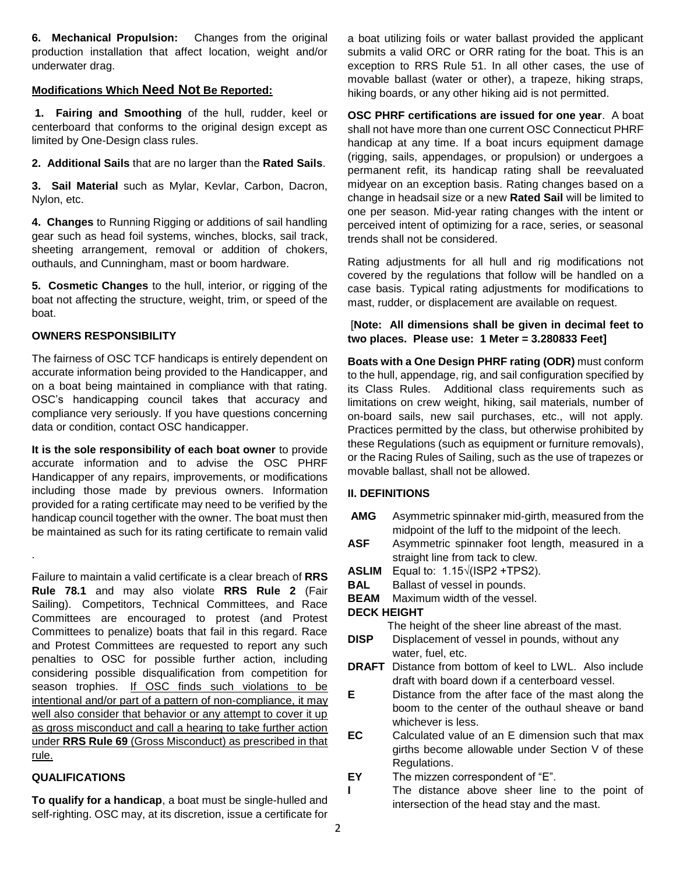**6. Mechanical Propulsion:** Changes from the original production installation that affect location, weight and/or underwater drag.

### **Modifications Which Need Not Be Reported:**

**1. Fairing and Smoothing** of the hull, rudder, keel or centerboard that conforms to the original design except as limited by One-Design class rules.

**2. Additional Sails** that are no larger than the **Rated Sails**.

**3. Sail Material** such as Mylar, Kevlar, Carbon, Dacron, Nylon, etc.

**4. Changes** to Running Rigging or additions of sail handling gear such as head foil systems, winches, blocks, sail track, sheeting arrangement, removal or addition of chokers, outhauls, and Cunningham, mast or boom hardware.

**5. Cosmetic Changes** to the hull, interior, or rigging of the boat not affecting the structure, weight, trim, or speed of the boat.

### **OWNERS RESPONSIBILITY**

The fairness of OSC TCF handicaps is entirely dependent on accurate information being provided to the Handicapper, and on a boat being maintained in compliance with that rating. OSC's handicapping council takes that accuracy and compliance very seriously. If you have questions concerning data or condition, contact OSC handicapper.

**It is the sole responsibility of each boat owner** to provide accurate information and to advise the OSC PHRF Handicapper of any repairs, improvements, or modifications including those made by previous owners. Information provided for a rating certificate may need to be verified by the handicap council together with the owner. The boat must then be maintained as such for its rating certificate to remain valid

Failure to maintain a valid certificate is a clear breach of **RRS Rule 78.1** and may also violate **RRS Rule 2** (Fair Sailing). Competitors, Technical Committees, and Race Committees are encouraged to protest (and Protest Committees to penalize) boats that fail in this regard. Race and Protest Committees are requested to report any such penalties to OSC for possible further action, including considering possible disqualification from competition for season trophies. If OSC finds such violations to be intentional and/or part of a pattern of non-compliance, it may well also consider that behavior or any attempt to cover it up as gross misconduct and call a hearing to take further action under **RRS Rule 69** (Gross Misconduct) as prescribed in that rule.

# **QUALIFICATIONS**

.

**To qualify for a handicap**, a boat must be single-hulled and self-righting. OSC may, at its discretion, issue a certificate for a boat utilizing foils or water ballast provided the applicant submits a valid ORC or ORR rating for the boat. This is an exception to RRS Rule 51. In all other cases, the use of movable ballast (water or other), a trapeze, hiking straps, hiking boards, or any other hiking aid is not permitted.

**OSC PHRF certifications are issued for one year**. A boat shall not have more than one current OSC Connecticut PHRF handicap at any time. If a boat incurs equipment damage (rigging, sails, appendages, or propulsion) or undergoes a permanent refit, its handicap rating shall be reevaluated midyear on an exception basis. Rating changes based on a change in headsail size or a new **Rated Sail** will be limited to one per season. Mid-year rating changes with the intent or perceived intent of optimizing for a race, series, or seasonal trends shall not be considered.

Rating adjustments for all hull and rig modifications not covered by the regulations that follow will be handled on a case basis. Typical rating adjustments for modifications to mast, rudder, or displacement are available on request.

### [**Note: All dimensions shall be given in decimal feet to two places. Please use: 1 Meter = 3.280833 Feet]**

**Boats with a One Design PHRF rating (ODR)** must conform to the hull, appendage, rig, and sail configuration specified by its Class Rules. Additional class requirements such as limitations on crew weight, hiking, sail materials, number of on-board sails, new sail purchases, etc., will not apply. Practices permitted by the class, but otherwise prohibited by these Regulations (such as equipment or furniture removals), or the Racing Rules of Sailing, such as the use of trapezes or movable ballast, shall not be allowed.

### **II. DEFINITIONS**

- **AMG** Asymmetric spinnaker mid-girth, measured from the midpoint of the luff to the midpoint of the leech.
- **ASF** Asymmetric spinnaker foot length, measured in a straight line from tack to clew.
- **ASLIM** Equal to: 1.15√(ISP2 +TPS2).
- **BAL** Ballast of vessel in pounds.
- **BEAM** Maximum width of the vessel.

### **DECK HEIGHT**

The height of the sheer line abreast of the mast.

- **DISP** Displacement of vessel in pounds, without any water, fuel, etc.
- **DRAFT** Distance from bottom of keel to LWL. Also include draft with board down if a centerboard vessel.
- **E** Distance from the after face of the mast along the boom to the center of the outhaul sheave or band whichever is less.
- **EC** Calculated value of an E dimension such that max girths become allowable under Section V of these Regulations.
- **EY** The mizzen correspondent of "E".
- The distance above sheer line to the point of intersection of the head stay and the mast.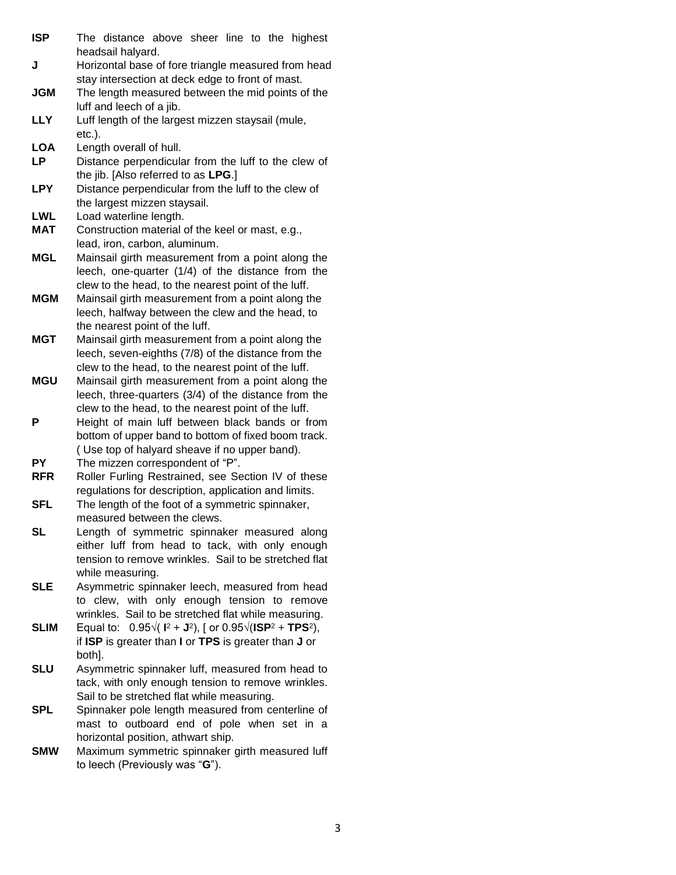- **ISP** The distance above sheer line to the highest headsail halyard.
- **J** Horizontal base of fore triangle measured from head stay intersection at deck edge to front of mast.
- **JGM** The length measured between the mid points of the luff and leech of a jib.
- **LLY** Luff length of the largest mizzen staysail (mule, etc.).
- **LOA** Length overall of hull.
- **LP** Distance perpendicular from the luff to the clew of the jib. [Also referred to as **LPG**.]
- **LPY** Distance perpendicular from the luff to the clew of the largest mizzen staysail.
- **LWL** Load waterline length.
- **MAT** Construction material of the keel or mast, e.g., lead, iron, carbon, aluminum.
- **MGL** Mainsail girth measurement from a point along the leech, one-quarter (1/4) of the distance from the clew to the head, to the nearest point of the luff.
- **MGM** Mainsail girth measurement from a point along the leech, halfway between the clew and the head, to the nearest point of the luff.
- **MGT** Mainsail girth measurement from a point along the leech, seven-eighths (7/8) of the distance from the clew to the head, to the nearest point of the luff.
- **MGU** Mainsail girth measurement from a point along the leech, three-quarters (3/4) of the distance from the clew to the head, to the nearest point of the luff.
- **P** Height of main luff between black bands or from bottom of upper band to bottom of fixed boom track. ( Use top of halyard sheave if no upper band).
- **PY** The mizzen correspondent of "P".
- **RFR** Roller Furling Restrained, see Section IV of these regulations for description, application and limits.
- **SFL** The length of the foot of a symmetric spinnaker, measured between the clews.
- **SL** Length of symmetric spinnaker measured along either luff from head to tack, with only enough tension to remove wrinkles. Sail to be stretched flat while measuring.
- **SLE** Asymmetric spinnaker leech, measured from head to clew, with only enough tension to remove wrinkles. Sail to be stretched flat while measuring.
- **SLIM** Equal to:  $0.95\sqrt{(1^2 + J^2)}$ , [ or  $0.95\sqrt{(1SP^2 + TPS^2)}$ , if **ISP** is greater than **I** or **TPS** is greater than **J** or both].
- **SLU** Asymmetric spinnaker luff, measured from head to tack, with only enough tension to remove wrinkles. Sail to be stretched flat while measuring.
- **SPL** Spinnaker pole length measured from centerline of mast to outboard end of pole when set in a horizontal position, athwart ship.
- **SMW** Maximum symmetric spinnaker girth measured luff to leech (Previously was "**G**").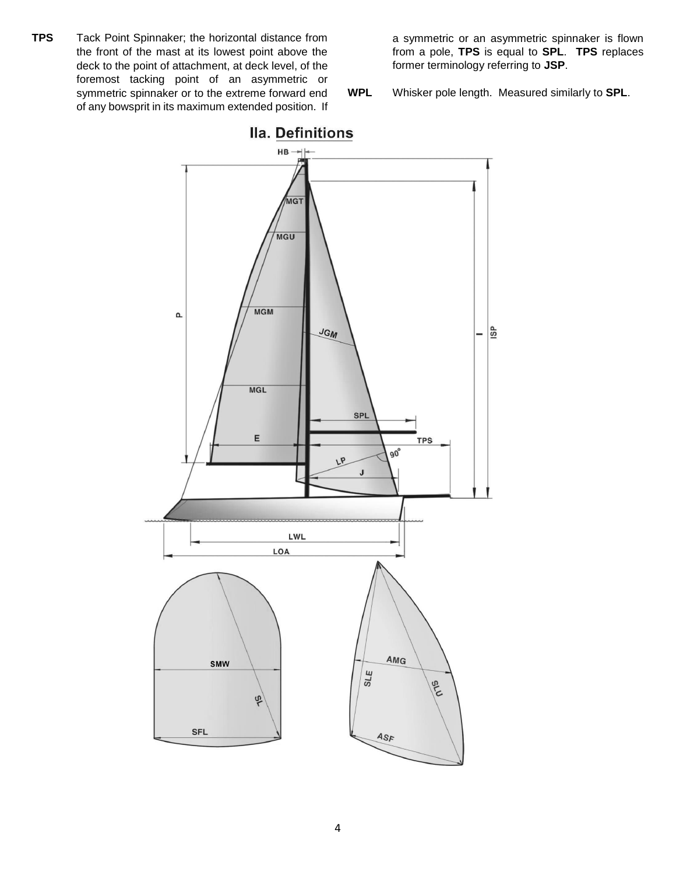**TPS** Tack Point Spinnaker; the horizontal distance from the front of the mast at its lowest point above the deck to the point of attachment, at deck level, of the foremost tacking point of an asymmetric or symmetric spinnaker or to the extreme forward end of any bowsprit in its maximum extended position. If a symmetric or an asymmetric spinnaker is flown from a pole, **TPS** is equal to **SPL**. **TPS** replaces former terminology referring to **JSP**.

**WPL** Whisker pole length. Measured similarly to **SPL**.

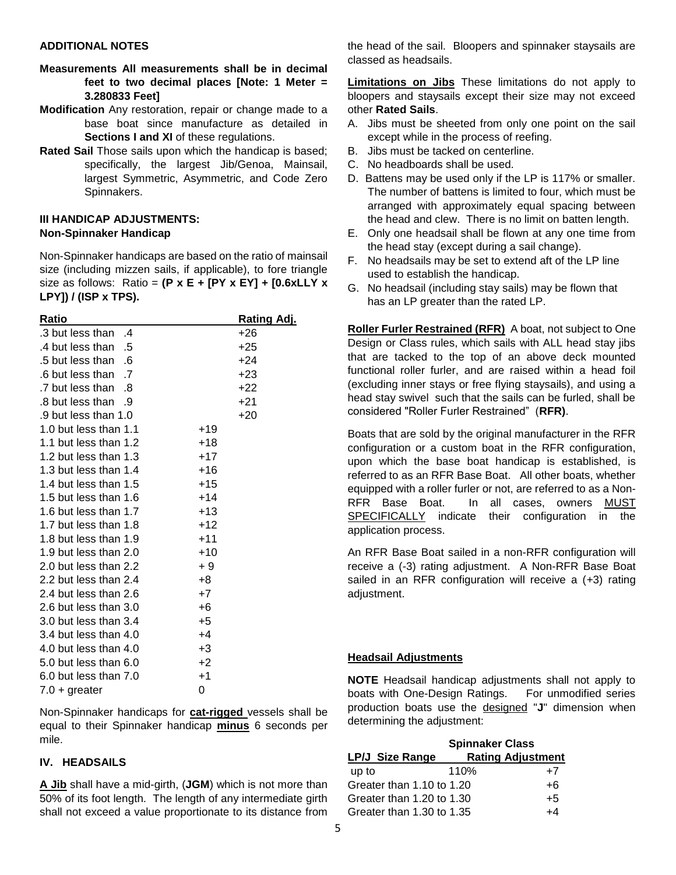#### **ADDITIONAL NOTES**

- **Measurements All measurements shall be in decimal feet to two decimal places [Note: 1 Meter = 3.280833 Feet]**
- **Modification** Any restoration, repair or change made to a base boat since manufacture as detailed in **Sections I and XI** of these regulations.
- **Rated Sail** Those sails upon which the handicap is based; specifically, the largest Jib/Genoa, Mainsail, largest Symmetric, Asymmetric, and Code Zero Spinnakers.

#### **III HANDICAP ADJUSTMENTS: Non-Spinnaker Handicap**

Non-Spinnaker handicaps are based on the ratio of mainsail size (including mizzen sails, if applicable), to fore triangle size as follows: Ratio = **(P x E + [PY x EY] + [0.6xLLY x LPY]) / (ISP x TPS).** 

| Ratio                             |       | <u>Rating Adj.</u> |
|-----------------------------------|-------|--------------------|
| .3 but less than<br>$\mathcal{A}$ |       | $+26$              |
| .4 but less than<br>.5            |       | +25                |
| .5 but less than<br>-6            |       | +24                |
| .6 but less than<br>$\cdot$ 7     |       | +23                |
| .7 but less than<br>- 8           |       | +22                |
| .8 but less than<br>- 9           |       | +21                |
| .9 but less than 1.0              |       | +20                |
| 1.0 but less than 1.1             | $+19$ |                    |
| 1.1 but less than 1.2             | +18   |                    |
| 1.2 but less than 1.3             | $+17$ |                    |
| 1.3 but less than 1.4             | +16   |                    |
| 1.4 but less than 1.5             | +15   |                    |
| 1.5 but less than 1.6             | $+14$ |                    |
| 1.6 but less than 1.7             | $+13$ |                    |
| 1.7 but less than 1.8             | $+12$ |                    |
| 1.8 but less than 1.9             | $+11$ |                    |
| 1.9 but less than 2.0             | $+10$ |                    |
| 2.0 but less than 2.2             | + 9   |                    |
| 2.2 but less than 2.4             | $+8$  |                    |
| 2.4 but less than 2.6             | $+7$  |                    |
| 2.6 but less than 3.0             | $+6$  |                    |
| 3.0 but less than 3.4             | +5    |                    |
| 3.4 but less than 4.0             | $+4$  |                    |
| 4.0 but less than 4.0             | $+3$  |                    |
| 5.0 but less than 6.0             | $+2$  |                    |
| 6.0 but less than 7.0             | $+1$  |                    |
| $7.0 +$ greater                   | 0     |                    |

Non-Spinnaker handicaps for **cat-rigged** vessels shall be equal to their Spinnaker handicap **minus** 6 seconds per mile.

### **IV. HEADSAILS**

**A Jib** shall have a mid-girth, (**JGM**) which is not more than 50% of its foot length. The length of any intermediate girth shall not exceed a value proportionate to its distance from

the head of the sail. Bloopers and spinnaker staysails are classed as headsails.

**Limitations on Jibs** These limitations do not apply to bloopers and staysails except their size may not exceed other **Rated Sails**.

- A. Jibs must be sheeted from only one point on the sail except while in the process of reefing.
- B. Jibs must be tacked on centerline.
- C. No headboards shall be used.
- D. Battens may be used only if the LP is 117% or smaller. The number of battens is limited to four, which must be arranged with approximately equal spacing between the head and clew. There is no limit on batten length.
- E. Only one headsail shall be flown at any one time from the head stay (except during a sail change).
- F. No headsails may be set to extend aft of the LP line used to establish the handicap.
- G. No headsail (including stay sails) may be flown that has an LP greater than the rated LP.

**Roller Furler Restrained (RFR)** A boat, not subject to One Design or Class rules, which sails with ALL head stay jibs that are tacked to the top of an above deck mounted functional roller furler, and are raised within a head foil (excluding inner stays or free flying staysails), and using a head stay swivel such that the sails can be furled, shall be considered "Roller Furler Restrained" (**RFR)**.

Boats that are sold by the original manufacturer in the RFR configuration or a custom boat in the RFR configuration, upon which the base boat handicap is established, is referred to as an RFR Base Boat. All other boats, whether equipped with a roller furler or not, are referred to as a Non-RFR Base Boat. In all cases, owners MUST SPECIFICALLY indicate their configuration in the application process.

An RFR Base Boat sailed in a non-RFR configuration will receive a (-3) rating adjustment. A Non-RFR Base Boat sailed in an RFR configuration will receive a (+3) rating adjustment.

#### **Headsail Adjustments**

**NOTE** Headsail handicap adjustments shall not apply to boats with One-Design Ratings. For unmodified series production boats use the designed "**J**" dimension when determining the adjustment:

|                           | <b>Spinnaker Class</b> |                          |
|---------------------------|------------------------|--------------------------|
| LP/J Size Range           |                        | <b>Rating Adjustment</b> |
| up to                     | 110%                   | $+7$                     |
| Greater than 1.10 to 1.20 |                        | $+6$                     |
| Greater than 1.20 to 1.30 |                        | $+5$                     |
| Greater than 1.30 to 1.35 |                        | +4                       |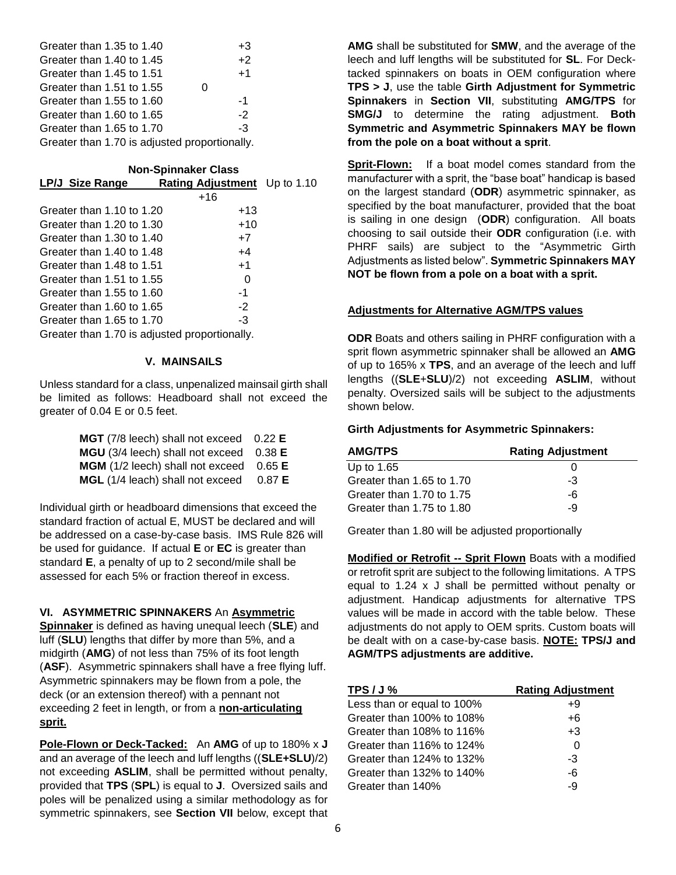| Greater than 1.35 to 1.40                     |   | $+3$ |
|-----------------------------------------------|---|------|
| Greater than 1.40 to 1.45                     |   | $+2$ |
| Greater than 1.45 to 1.51                     |   | $+1$ |
| Greater than 1.51 to 1.55                     | U |      |
| Greater than 1.55 to 1.60                     |   | -1   |
| Greater than 1.60 to 1.65                     |   | $-2$ |
| Greater than 1.65 to 1.70                     |   | -3   |
| Greater than 1.70 is adjusted proportionally. |   |      |

#### **Non-Spinnaker Class**

| <b>LP/J Size Range</b>                        | Rating Adjustment Up to 1.10 |  |
|-----------------------------------------------|------------------------------|--|
|                                               | $+16$                        |  |
| Greater than 1.10 to 1.20                     | $+13$                        |  |
| Greater than 1.20 to 1.30                     | $+10$                        |  |
| Greater than 1.30 to 1.40                     | $+7$                         |  |
| Greater than 1.40 to 1.48                     | $+4$                         |  |
| Greater than 1.48 to 1.51                     | $+1$                         |  |
| Greater than 1.51 to 1.55                     | O                            |  |
| Greater than 1.55 to 1.60                     | -1                           |  |
| Greater than $1.60$ to $1.65$                 | $-2$                         |  |
| Greater than 1.65 to 1.70                     | -3                           |  |
| Greater than 1.70 is adjusted proportionally. |                              |  |

#### **V. MAINSAILS**

Unless standard for a class, unpenalized mainsail girth shall be limited as follows: Headboard shall not exceed the greater of 0.04 E or 0.5 feet.

| MGT (7/8 leech) shall not exceed 0.22 E |        |
|-----------------------------------------|--------|
| MGU (3/4 leech) shall not exceed 0.38 E |        |
| MGM (1/2 leech) shall not exceed 0.65 E |        |
| MGL (1/4 leach) shall not exceed        | 0.87 E |

Individual girth or headboard dimensions that exceed the standard fraction of actual E, MUST be declared and will be addressed on a case-by-case basis. IMS Rule 826 will be used for guidance. If actual **E** or **EC** is greater than standard **E**, a penalty of up to 2 second/mile shall be assessed for each 5% or fraction thereof in excess.

#### **VI. ASYMMETRIC SPINNAKERS** An **Asymmetric**

**Spinnaker** is defined as having unequal leech (**SLE**) and luff (**SLU**) lengths that differ by more than 5%, and a midgirth (**AMG**) of not less than 75% of its foot length (**ASF**). Asymmetric spinnakers shall have a free flying luff. Asymmetric spinnakers may be flown from a pole, the deck (or an extension thereof) with a pennant not exceeding 2 feet in length, or from a **non-articulating sprit.** 

**Pole-Flown or Deck-Tacked:** An **AMG** of up to 180% x **J** and an average of the leech and luff lengths ((**SLE+SLU**)/2) not exceeding **ASLIM**, shall be permitted without penalty, provided that **TPS** (**SPL**) is equal to **J**. Oversized sails and poles will be penalized using a similar methodology as for symmetric spinnakers, see **Section VII** below, except that **AMG** shall be substituted for **SMW**, and the average of the leech and luff lengths will be substituted for **SL**. For Decktacked spinnakers on boats in OEM configuration where **TPS > J**, use the table **Girth Adjustment for Symmetric Spinnakers** in **Section VII**, substituting **AMG/TPS** for **SMG/J** to determine the rating adjustment. **Both Symmetric and Asymmetric Spinnakers MAY be flown from the pole on a boat without a sprit**.

**Sprit-Flown:** If a boat model comes standard from the manufacturer with a sprit, the "base boat" handicap is based on the largest standard (**ODR**) asymmetric spinnaker, as specified by the boat manufacturer, provided that the boat is sailing in one design (**ODR**) configuration. All boats choosing to sail outside their **ODR** configuration (i.e. with PHRF sails) are subject to the "Asymmetric Girth Adjustments as listed below". **Symmetric Spinnakers MAY NOT be flown from a pole on a boat with a sprit.** 

#### **Adjustments for Alternative AGM/TPS values**

**ODR** Boats and others sailing in PHRF configuration with a sprit flown asymmetric spinnaker shall be allowed an **AMG** of up to 165% x **TPS**, and an average of the leech and luff lengths ((**SLE**+**SLU**)/2) not exceeding **ASLIM**, without penalty. Oversized sails will be subject to the adjustments shown below.

#### **Girth Adjustments for Asymmetric Spinnakers:**

| <b>AMG/TPS</b>            | <b>Rating Adjustment</b> |
|---------------------------|--------------------------|
| Up to 1.65                |                          |
| Greater than 1.65 to 1.70 | -3                       |
| Greater than 1.70 to 1.75 | -6                       |
| Greater than 1.75 to 1.80 | -9                       |

Greater than 1.80 will be adjusted proportionally

**Modified or Retrofit -- Sprit Flown** Boats with a modified or retrofit sprit are subject to the following limitations. A TPS equal to 1.24 x J shall be permitted without penalty or adjustment. Handicap adjustments for alternative TPS values will be made in accord with the table below. These adjustments do not apply to OEM sprits. Custom boats will be dealt with on a case-by-case basis. **NOTE: TPS/J and AGM/TPS adjustments are additive.** 

| TPS/J%                     | <b>Rating Adjustment</b> |
|----------------------------|--------------------------|
| Less than or equal to 100% | +9                       |
| Greater than 100% to 108%  | $+6$                     |
| Greater than 108% to 116%  | $+3$                     |
| Greater than 116% to 124%  |                          |
| Greater than 124% to 132%  | -3                       |
| Greater than 132% to 140%  | -6                       |
| Greater than 140%          | -9                       |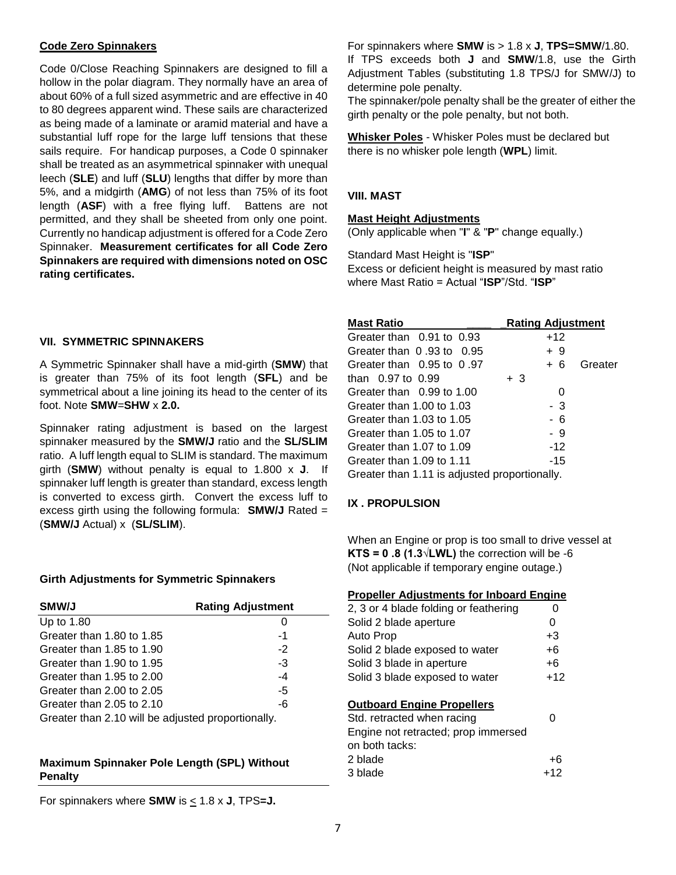#### **Code Zero Spinnakers**

Code 0/Close Reaching Spinnakers are designed to fill a hollow in the polar diagram. They normally have an area of about 60% of a full sized asymmetric and are effective in 40 to 80 degrees apparent wind. These sails are characterized as being made of a laminate or aramid material and have a substantial luff rope for the large luff tensions that these sails require. For handicap purposes, a Code 0 spinnaker shall be treated as an asymmetrical spinnaker with unequal leech (**SLE**) and luff (**SLU**) lengths that differ by more than 5%, and a midgirth (**AMG**) of not less than 75% of its foot length (**ASF**) with a free flying luff. Battens are not permitted, and they shall be sheeted from only one point. Currently no handicap adjustment is offered for a Code Zero Spinnaker. **Measurement certificates for all Code Zero Spinnakers are required with dimensions noted on OSC rating certificates.** 

#### **VII. SYMMETRIC SPINNAKERS**

A Symmetric Spinnaker shall have a mid-girth (**SMW**) that is greater than 75% of its foot length (**SFL**) and be symmetrical about a line joining its head to the center of its foot. Note **SMW**=**SHW** x **2.0.**

Spinnaker rating adjustment is based on the largest spinnaker measured by the **SMW/J** ratio and the **SL/SLIM** ratio. A luff length equal to SLIM is standard. The maximum girth (**SMW**) without penalty is equal to 1.800 x **J**. If spinnaker luff length is greater than standard, excess length is converted to excess girth. Convert the excess luff to excess girth using the following formula: **SMW/J** Rated = (**SMW/J** Actual) x (**SL/SLIM**).

#### **Girth Adjustments for Symmetric Spinnakers**

| <b>SMW/J</b>                                       | <b>Rating Adjustment</b> |
|----------------------------------------------------|--------------------------|
| Up to 1.80                                         |                          |
| Greater than 1.80 to 1.85                          | -1                       |
| Greater than 1.85 to 1.90                          | $-2$                     |
| Greater than 1.90 to 1.95                          | -3                       |
| Greater than 1.95 to 2.00                          | -4                       |
| Greater than 2.00 to 2.05                          | -5                       |
| Greater than 2.05 to 2.10                          | -6                       |
| Greater than 2.10 will be adjusted proportionally. |                          |

#### **Maximum Spinnaker Pole Length (SPL) Without Penalty**

For spinnakers where **SMW** is  $\leq$  1.8 x **J**, TPS=**J**.

For spinnakers where **SMW** is > 1.8 x **J**, **TPS=SMW**/1.80. If TPS exceeds both **J** and **SMW**/1.8, use the Girth Adjustment Tables (substituting 1.8 TPS/J for SMW/J) to determine pole penalty.

The spinnaker/pole penalty shall be the greater of either the girth penalty or the pole penalty, but not both.

**Whisker Poles** - Whisker Poles must be declared but there is no whisker pole length (**WPL**) limit.

### **VIII. MAST**

### **Mast Height Adjustments**

(Only applicable when "**I**" & "**P**" change equally.)

Standard Mast Height is "**ISP**" Excess or deficient height is measured by mast ratio where Mast Ratio = Actual "**ISP**"/Std. "**ISP**"

| <b>Mast Ratio</b>                             | <b>Rating Adjustment</b> |         |
|-----------------------------------------------|--------------------------|---------|
| Greater than 0.91 to 0.93                     | $+12$                    |         |
| Greater than $0.93$ to $0.95$                 | + 9                      |         |
| Greater than $0.95$ to $0.97$                 | + 6                      | Greater |
| than $0.97$ to $0.99$                         | + 3                      |         |
| Greater than 0.99 to 1.00                     | 0                        |         |
| Greater than 1.00 to 1.03                     | - 3                      |         |
| Greater than 1.03 to 1.05                     | - 6                      |         |
| Greater than 1.05 to 1.07                     | -9                       |         |
| Greater than 1.07 to 1.09                     | $-12$                    |         |
| Greater than 1.09 to 1.11                     | -15                      |         |
| Greater than 1.11 is adjusted proportionally. |                          |         |

### **IX . PROPULSION**

When an Engine or prop is too small to drive vessel at **KTS = 0.8 (1.3** $\sqrt{\text{LWL}}$ **)** the correction will be -6 (Not applicable if temporary engine outage.)

| <b>Propeller Adjustments for Inboard Engine</b> |       |
|-------------------------------------------------|-------|
| 2, 3 or 4 blade folding or feathering           | Ω     |
| Solid 2 blade aperture                          | 0     |
| Auto Prop                                       | $+3$  |
| Solid 2 blade exposed to water                  | +6    |
| Solid 3 blade in aperture                       | $+6$  |
| Solid 3 blade exposed to water                  | $+12$ |
|                                                 |       |
| <b>Outboard Engine Propellers</b>               |       |
| Std. retracted when racing                      |       |
| Engine not retracted; prop immersed             |       |
| on both tacks:                                  |       |
| 2 blade                                         | +ŀ    |
| 3 blade                                         | +12   |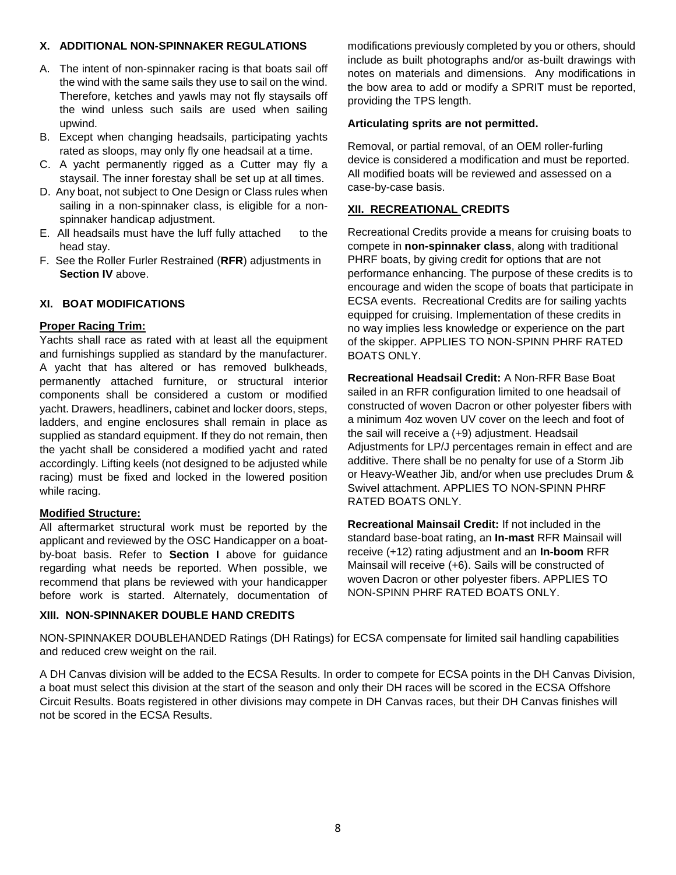### **X. ADDITIONAL NON-SPINNAKER REGULATIONS**

- A. The intent of non-spinnaker racing is that boats sail off the wind with the same sails they use to sail on the wind. Therefore, ketches and yawls may not fly staysails off the wind unless such sails are used when sailing upwind.
- B. Except when changing headsails, participating yachts rated as sloops, may only fly one headsail at a time.
- C. A yacht permanently rigged as a Cutter may fly a staysail. The inner forestay shall be set up at all times.
- D. Any boat, not subject to One Design or Class rules when sailing in a non-spinnaker class, is eligible for a nonspinnaker handicap adjustment.
- E. All headsails must have the luff fully attached to the head stay.
- F. See the Roller Furler Restrained (**RFR**) adjustments in **Section IV** above.

### **XI. BOAT MODIFICATIONS**

### **Proper Racing Trim:**

Yachts shall race as rated with at least all the equipment and furnishings supplied as standard by the manufacturer. A yacht that has altered or has removed bulkheads, permanently attached furniture, or structural interior components shall be considered a custom or modified yacht. Drawers, headliners, cabinet and locker doors, steps, ladders, and engine enclosures shall remain in place as supplied as standard equipment. If they do not remain, then the yacht shall be considered a modified yacht and rated accordingly. Lifting keels (not designed to be adjusted while racing) must be fixed and locked in the lowered position while racing.

### **Modified Structure:**

All aftermarket structural work must be reported by the applicant and reviewed by the OSC Handicapper on a boatby-boat basis. Refer to **Section I** above for guidance regarding what needs be reported. When possible, we recommend that plans be reviewed with your handicapper before work is started. Alternately, documentation of

### **XIII. NON-SPINNAKER DOUBLE HAND CREDITS**

modifications previously completed by you or others, should include as built photographs and/or as-built drawings with notes on materials and dimensions. Any modifications in the bow area to add or modify a SPRIT must be reported, providing the TPS length.

# **Articulating sprits are not permitted.**

Removal, or partial removal, of an OEM roller-furling device is considered a modification and must be reported. All modified boats will be reviewed and assessed on a case-by-case basis.

# **XII. RECREATIONAL CREDITS**

Recreational Credits provide a means for cruising boats to compete in **non-spinnaker class**, along with traditional PHRF boats, by giving credit for options that are not performance enhancing. The purpose of these credits is to encourage and widen the scope of boats that participate in ECSA events. Recreational Credits are for sailing yachts equipped for cruising. Implementation of these credits in no way implies less knowledge or experience on the part of the skipper. APPLIES TO NON-SPINN PHRF RATED BOATS ONLY.

**Recreational Headsail Credit:** A Non-RFR Base Boat sailed in an RFR configuration limited to one headsail of constructed of woven Dacron or other polyester fibers with a minimum 4oz woven UV cover on the leech and foot of the sail will receive a (+9) adjustment. Headsail Adjustments for LP/J percentages remain in effect and are additive. There shall be no penalty for use of a Storm Jib or Heavy-Weather Jib, and/or when use precludes Drum & Swivel attachment. APPLIES TO NON-SPINN PHRF RATED BOATS ONLY.

**Recreational Mainsail Credit:** If not included in the standard base-boat rating, an **In-mast** RFR Mainsail will receive (+12) rating adjustment and an **In-boom** RFR Mainsail will receive (+6). Sails will be constructed of woven Dacron or other polyester fibers. APPLIES TO NON-SPINN PHRF RATED BOATS ONLY.

NON-SPINNAKER DOUBLEHANDED Ratings (DH Ratings) for ECSA compensate for limited sail handling capabilities and reduced crew weight on the rail.

A DH Canvas division will be added to the ECSA Results. In order to compete for ECSA points in the DH Canvas Division, a boat must select this division at the start of the season and only their DH races will be scored in the ECSA Offshore Circuit Results. Boats registered in other divisions may compete in DH Canvas races, but their DH Canvas finishes will not be scored in the ECSA Results.